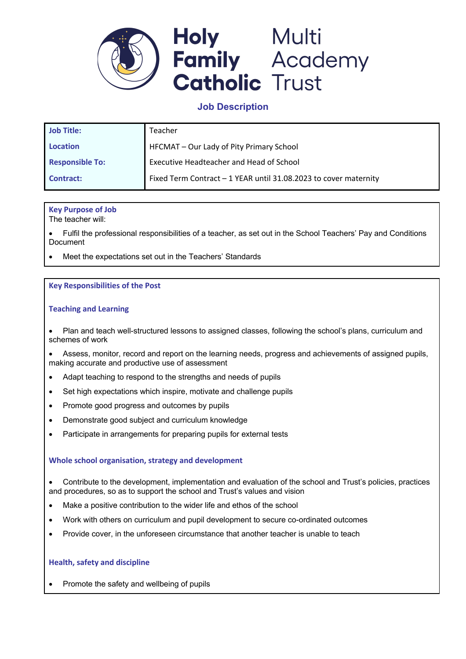

# **Job Description**

| <b>Job Title:</b>      | Teacher                                                          |
|------------------------|------------------------------------------------------------------|
| <b>Location</b>        | HFCMAT - Our Lady of Pity Primary School                         |
| <b>Responsible To:</b> | Executive Headteacher and Head of School                         |
| <b>Contract:</b>       | Fixed Term Contract - 1 YEAR until 31.08.2023 to cover maternity |

# **Key Purpose of Job**

The teacher will:

• Fulfil the professional responsibilities of a teacher, as set out in the School Teachers' Pay and Conditions Document

Meet the expectations set out in the Teachers' Standards

## **Key Responsibilities of the Post**

## **Teaching and Learning**

• Plan and teach well-structured lessons to assigned classes, following the school's plans, curriculum and schemes of work

• Assess, monitor, record and report on the learning needs, progress and achievements of assigned pupils, making accurate and productive use of assessment

- Adapt teaching to respond to the strengths and needs of pupils
- Set high expectations which inspire, motivate and challenge pupils
- Promote good progress and outcomes by pupils
- Demonstrate good subject and curriculum knowledge
- Participate in arrangements for preparing pupils for external tests

#### **Whole school organisation, strategy and development**

• Contribute to the development, implementation and evaluation of the school and Trust's policies, practices and procedures, so as to support the school and Trust's values and vision

- Make a positive contribution to the wider life and ethos of the school
- Work with others on curriculum and pupil development to secure co-ordinated outcomes
- Provide cover, in the unforeseen circumstance that another teacher is unable to teach

#### **Health, safety and discipline**

• Promote the safety and wellbeing of pupils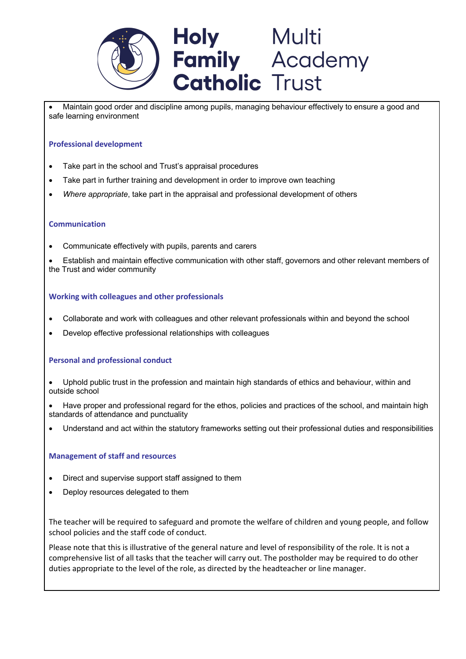

• Maintain good order and discipline among pupils, managing behaviour effectively to ensure a good and safe learning environment

# **Professional development**

- Take part in the school and Trust's appraisal procedures
- Take part in further training and development in order to improve own teaching
- *Where appropriate*, take part in the appraisal and professional development of others

#### **Communication**

• Communicate effectively with pupils, parents and carers

• Establish and maintain effective communication with other staff, governors and other relevant members of the Trust and wider community

## **Working with colleagues and other professionals**

- Collaborate and work with colleagues and other relevant professionals within and beyond the school
- Develop effective professional relationships with colleagues

#### **Personal and professional conduct**

- Uphold public trust in the profession and maintain high standards of ethics and behaviour, within and outside school
- Have proper and professional regard for the ethos, policies and practices of the school, and maintain high standards of attendance and punctuality
- Understand and act within the statutory frameworks setting out their professional duties and responsibilities

#### **Management of staff and resources**

- Direct and supervise support staff assigned to them
- Deploy resources delegated to them

The teacher will be required to safeguard and promote the welfare of children and young people, and follow school policies and the staff code of conduct.

Please note that this is illustrative of the general nature and level of responsibility of the role. It is not a comprehensive list of all tasks that the teacher will carry out. The postholder may be required to do other duties appropriate to the level of the role, as directed by the headteacher or line manager.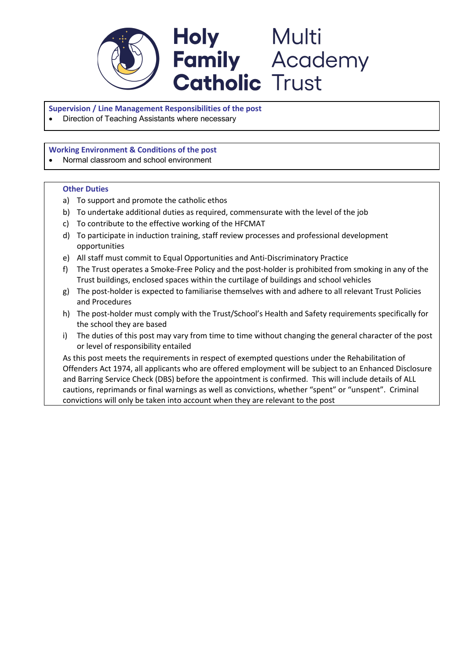

**Supervision / Line Management Responsibilities of the post** 

• Direction of Teaching Assistants where necessary

**Working Environment & Conditions of the post**

• Normal classroom and school environment

#### **Other Duties**

- a) To support and promote the catholic ethos
- b) To undertake additional duties as required, commensurate with the level of the job
- c) To contribute to the effective working of the HFCMAT
- d) To participate in induction training, staff review processes and professional development opportunities
- e) All staff must commit to Equal Opportunities and Anti-Discriminatory Practice
- f) The Trust operates a Smoke-Free Policy and the post-holder is prohibited from smoking in any of the Trust buildings, enclosed spaces within the curtilage of buildings and school vehicles
- g) The post-holder is expected to familiarise themselves with and adhere to all relevant Trust Policies and Procedures
- h) The post-holder must comply with the Trust/School's Health and Safety requirements specifically for the school they are based
- i) The duties of this post may vary from time to time without changing the general character of the post or level of responsibility entailed

As this post meets the requirements in respect of exempted questions under the Rehabilitation of Offenders Act 1974, all applicants who are offered employment will be subject to an Enhanced Disclosure and Barring Service Check (DBS) before the appointment is confirmed. This will include details of ALL cautions, reprimands or final warnings as well as convictions, whether "spent" or "unspent". Criminal convictions will only be taken into account when they are relevant to the post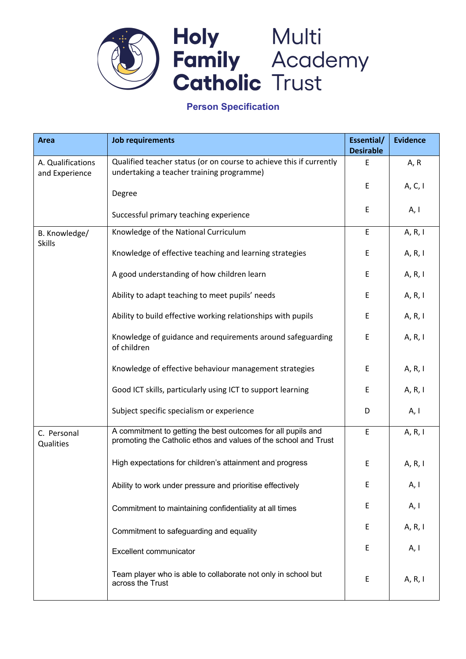

# **Person Specification**

| <b>Area</b>                         | <b>Job requirements</b>                                                                                                         | Essential/<br><b>Desirable</b> | <b>Evidence</b> |
|-------------------------------------|---------------------------------------------------------------------------------------------------------------------------------|--------------------------------|-----------------|
| A. Qualifications<br>and Experience | Qualified teacher status (or on course to achieve this if currently<br>undertaking a teacher training programme)                | E                              | A, R            |
|                                     | Degree                                                                                                                          | E                              | A, C, I         |
|                                     | Successful primary teaching experience                                                                                          | Ε                              | A, I            |
| B. Knowledge/<br><b>Skills</b>      | Knowledge of the National Curriculum                                                                                            | E                              | A, R, I         |
|                                     | Knowledge of effective teaching and learning strategies                                                                         | Ε                              | A, R, I         |
|                                     | A good understanding of how children learn                                                                                      | E                              | A, R, I         |
|                                     | Ability to adapt teaching to meet pupils' needs                                                                                 | E                              | A, R, I         |
|                                     | Ability to build effective working relationships with pupils                                                                    | E                              | A, R, I         |
|                                     | Knowledge of guidance and requirements around safeguarding<br>of children                                                       | E                              | A, R, I         |
|                                     | Knowledge of effective behaviour management strategies                                                                          | E                              | A, R, I         |
|                                     | Good ICT skills, particularly using ICT to support learning                                                                     | E                              | A, R, I         |
|                                     | Subject specific specialism or experience                                                                                       | D                              | A, I            |
| C. Personal<br>Qualities            | A commitment to getting the best outcomes for all pupils and<br>promoting the Catholic ethos and values of the school and Trust | E                              | A, R, I         |
|                                     | High expectations for children's attainment and progress                                                                        | E                              | A, R, I         |
|                                     | Ability to work under pressure and prioritise effectively                                                                       | Ε                              | A, I            |
|                                     | Commitment to maintaining confidentiality at all times                                                                          | E                              | A, I            |
|                                     | Commitment to safeguarding and equality                                                                                         | E                              | A, R, I         |
|                                     | Excellent communicator                                                                                                          | Ε                              | A, I            |
|                                     | Team player who is able to collaborate not only in school but<br>across the Trust                                               | E                              | A, R, I         |